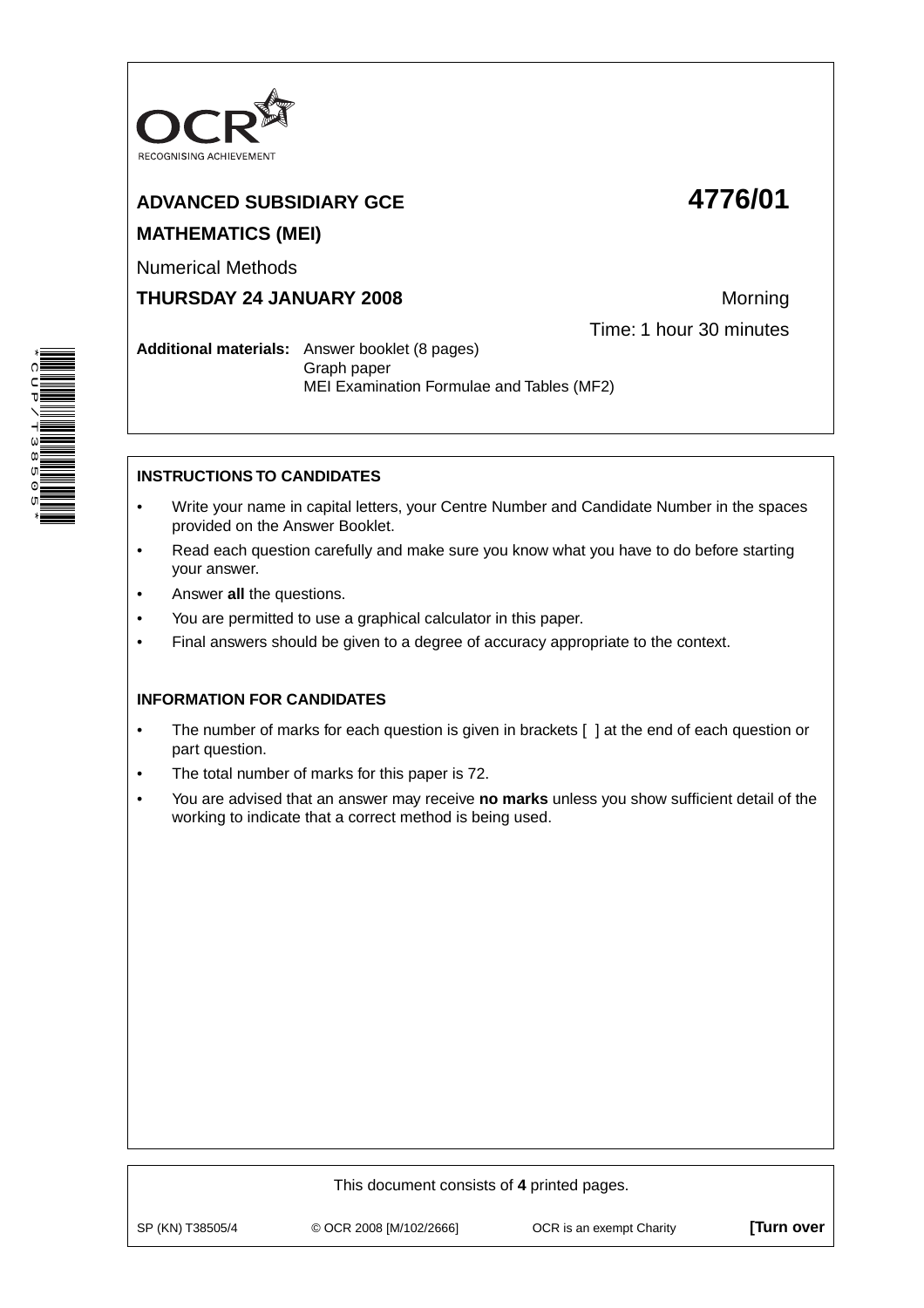

# **ADVANCED SUBSIDIARY GCE 4776/01 MATHEMATICS (MEI)**

Numerical Methods

**THURSDAY 24 JANUARY 2008** Morning

Time: 1 hour 30 minutes

**Additional materials:** Answer booklet (8 pages) Graph paper MEI Examination Formulae and Tables (MF2)

# **INSTRUCTIONS TO CANDIDATES**

- Write your name in capital letters, your Centre Number and Candidate Number in the spaces provided on the Answer Booklet.
- Read each question carefully and make sure you know what you have to do before starting your answer.
- Answer **all** the questions.
- You are permitted to use a graphical calculator in this paper.
- Final answers should be given to a degree of accuracy appropriate to the context.

## **INFORMATION FOR CANDIDATES**

- The number of marks for each question is given in brackets [ ] at the end of each question or part question.
- The total number of marks for this paper is 72.
- You are advised that an answer may receive **no marks** unless you show sufficient detail of the working to indicate that a correct method is being used.



\*CUP/T38505\*

| This document consists of 4 printed pages. |                         |                          |                  |  |
|--------------------------------------------|-------------------------|--------------------------|------------------|--|
| SP (KN) T38505/4                           | © OCR 2008 [M/102/2666] | OCR is an exempt Charity | <b>Turn over</b> |  |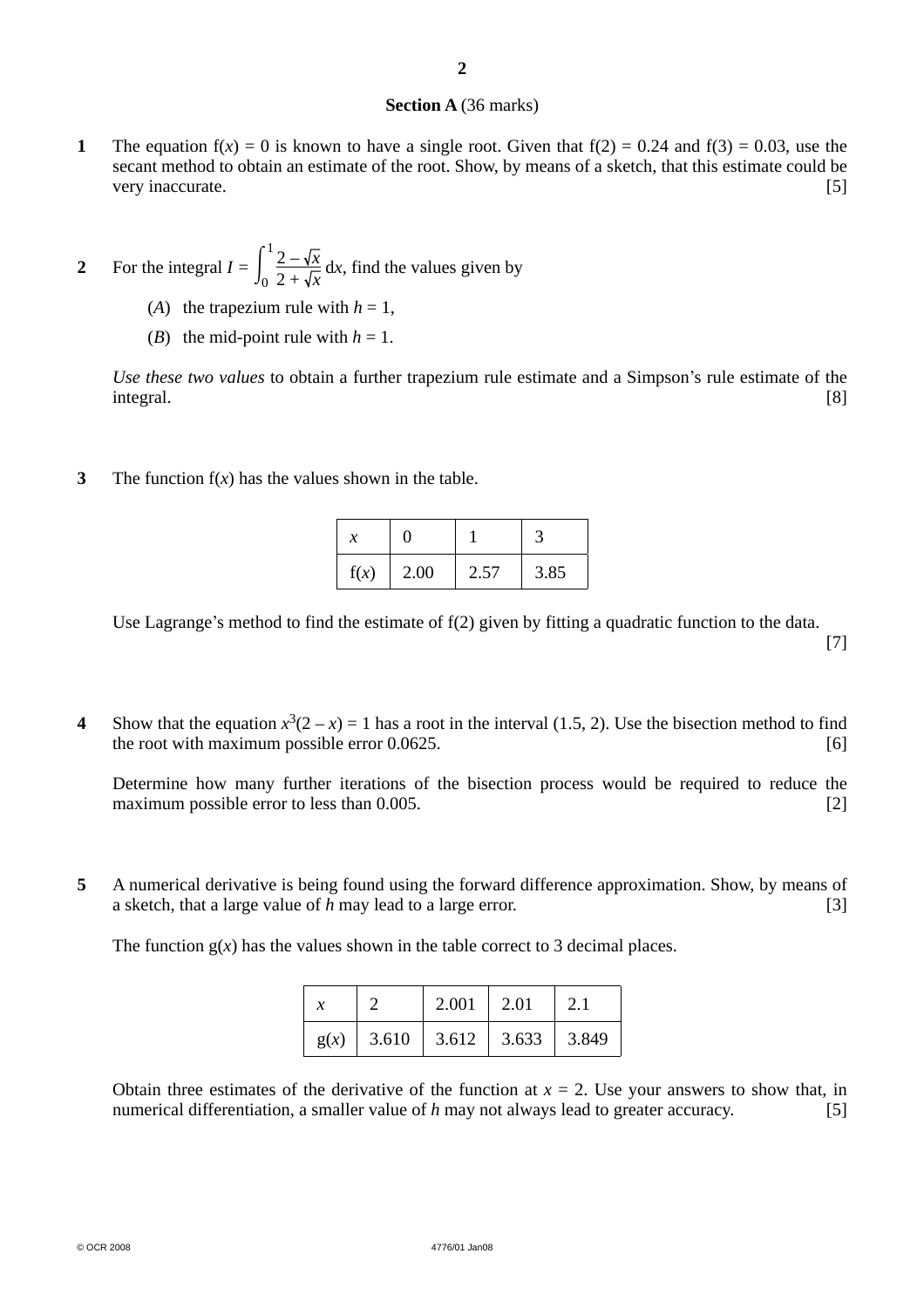### **Section A** (36 marks)

- **1** The equation  $f(x) = 0$  is known to have a single root. Given that  $f(2) = 0.24$  and  $f(3) = 0.03$ , use the secant method to obtain an estimate of the root. Show, by means of a sketch, that this estimate could be very inaccurate. [5]
- **2** For the integral  $I = \int_0^1$  $\frac{1}{2} - \sqrt{x}$  $2 + \sqrt{x}$  d*x*, find the values given by
	- (*A*) the trapezium rule with  $h = 1$ ,
	- (*B*) the mid-point rule with  $h = 1$ .

 *Use these two values* to obtain a further trapezium rule estimate and a Simpson's rule estimate of the integral. [8]

**3** The function f(*x*) has the values shown in the table.

| х    |      |      |      |
|------|------|------|------|
| f(x) | 2.00 | 2.57 | 3.85 |

Use Lagrange's method to find the estimate of f(2) given by fitting a quadratic function to the data. [7]

**4** Show that the equation  $x^3(2-x) = 1$  has a root in the interval (1.5, 2). Use the bisection method to find the root with maximum possible error 0.0625. [6]

 Determine how many further iterations of the bisection process would be required to reduce the maximum possible error to less than 0.005. [2]

**5** A numerical derivative is being found using the forward difference approximation. Show, by means of a sketch, that a large value of *h* may lead to a large error. [3]

The function  $g(x)$  has the values shown in the table correct to 3 decimal places.

|      |       | 2.001 | $\vert 2.01$ | 2.1   |
|------|-------|-------|--------------|-------|
| g(x) | 3.610 | 3.612 | 3.633        | 3.849 |

Obtain three estimates of the derivative of the function at  $x = 2$ . Use your answers to show that, in numerical differentiation, a smaller value of *h* may not always lead to greater accuracy. [5]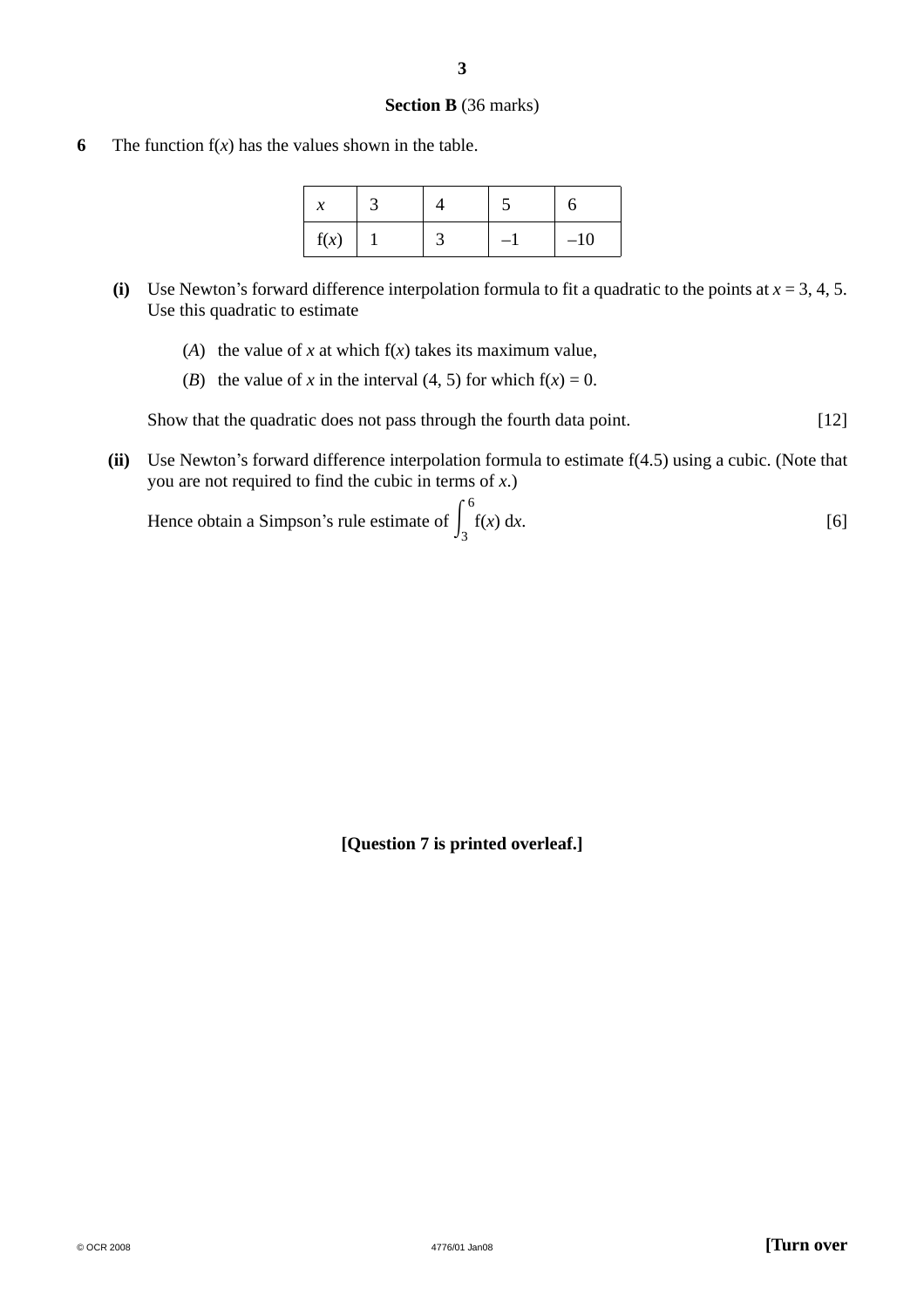#### **Section B** (36 marks)

**6** The function  $f(x)$  has the values shown in the table.

| f(x) |  | $-10$ |
|------|--|-------|

- **(i)** Use Newton's forward difference interpolation formula to fit a quadratic to the points at  $x = 3, 4, 5$ . Use this quadratic to estimate
	- (A) the value of *x* at which  $f(x)$  takes its maximum value,
	- (*B*) the value of *x* in the interval (4, 5) for which  $f(x) = 0$ .

Show that the quadratic does not pass through the fourth data point. [12]

 **(ii)** Use Newton's forward difference interpolation formula to estimate f(4.5) using a cubic. (Note that you are not required to find the cubic in terms of *x*.)

Hence obtain a Simpson's rule estimate of  $\int_3$ 6 f(*x*) d*x*. [6]

**[Question 7 is printed overleaf.]**